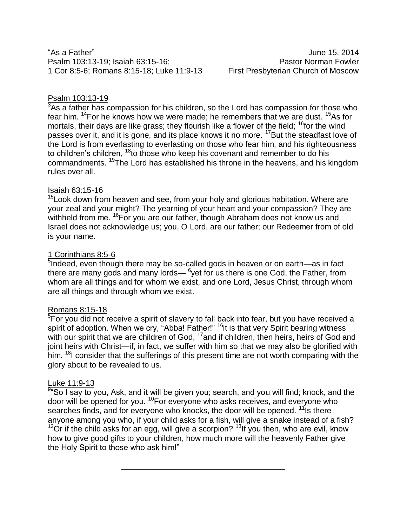"As a Father" June 15, 2014 Psalm 103:13-19; Isaiah 63:15-16; Psalm 103:15-16; 1 Cor 8:5-6; Romans 8:15-18; Luke 11:9-13 First Presbyterian Church of Moscow

# Psalm 103:13-19

 $3$ As a father has compassion for his children, so the Lord has compassion for those who fear him.  $14$ For he knows how we were made; he remembers that we are dust.  $15$ As for mortals, their days are like grass; they flourish like a flower of the field; <sup>16</sup>for the wind passes over it, and it is gone, and its place knows it no more. <sup>17</sup>But the steadfast love of the Lord is from everlasting to everlasting on those who fear him, and his righteousness to children's children,  $18$  to those who keep his covenant and remember to do his commandments. <sup>19</sup>The Lord has established his throne in the heavens, and his kingdom rules over all.

## Isaiah 63:15-16

<sup>15</sup>Look down from heaven and see, from your holy and glorious habitation. Where are your zeal and your might? The yearning of your heart and your compassion? They are withheld from me. <sup>16</sup>For you are our father, though Abraham does not know us and Israel does not acknowledge us; you, O Lord, are our father; our Redeemer from of old is your name.

## 1 Corinthians 8:5-6

<sup>5</sup>Indeed, even though there may be so-called gods in heaven or on earth—as in fact there are many gods and many lords— $6$ yet for us there is one God, the Father, from whom are all things and for whom we exist, and one Lord, Jesus Christ, through whom are all things and through whom we exist.

# Romans 8:15-18

<sup>5</sup>For you did not receive a spirit of slavery to fall back into fear, but you have received a spirit of adoption. When we cry, "Abba! Father!" <sup>16</sup>it is that very Spirit bearing witness with our spirit that we are children of God, <sup>17</sup>and if children, then heirs, heirs of God and joint heirs with Christ—if, in fact, we suffer with him so that we may also be glorified with him. <sup>18</sup> consider that the sufferings of this present time are not worth comparing with the glory about to be revealed to us.

#### Luke 11:9-13

<sup>9</sup> So I say to you, Ask, and it will be given you; search, and you will find; knock, and the door will be opened for you. <sup>10</sup>For everyone who asks receives, and everyone who searches finds, and for everyone who knocks, the door will be opened.  $11$  Is there anyone among you who, if your child asks for a fish, will give a snake instead of a fish?

 $12$ Or if the child asks for an egg, will give a scorpion?  $13$ If you then, who are evil, know how to give good gifts to your children, how much more will the heavenly Father give the Holy Spirit to those who ask him!"

\_\_\_\_\_\_\_\_\_\_\_\_\_\_\_\_\_\_\_\_\_\_\_\_\_\_\_\_\_\_\_\_\_\_\_\_\_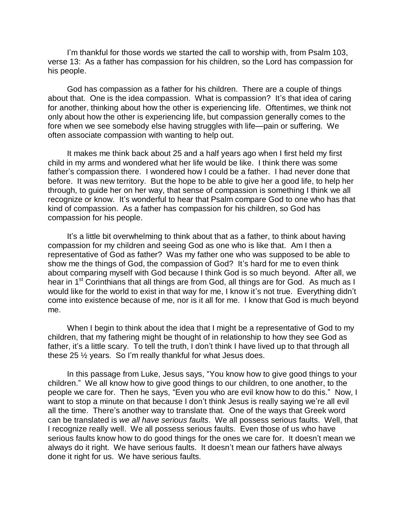I'm thankful for those words we started the call to worship with, from Psalm 103, verse 13: As a father has compassion for his children, so the Lord has compassion for his people.

God has compassion as a father for his children. There are a couple of things about that. One is the idea compassion. What is compassion? It's that idea of caring for another, thinking about how the other is experiencing life. Oftentimes, we think not only about how the other is experiencing life, but compassion generally comes to the fore when we see somebody else having struggles with life—pain or suffering. We often associate compassion with wanting to help out.

It makes me think back about 25 and a half years ago when I first held my first child in my arms and wondered what her life would be like. I think there was some father's compassion there. I wondered how I could be a father. I had never done that before. It was new territory. But the hope to be able to give her a good life, to help her through, to guide her on her way, that sense of compassion is something I think we all recognize or know. It's wonderful to hear that Psalm compare God to one who has that kind of compassion. As a father has compassion for his children, so God has compassion for his people.

It's a little bit overwhelming to think about that as a father, to think about having compassion for my children and seeing God as one who is like that. Am I then a representative of God as father? Was my father one who was supposed to be able to show me the things of God, the compassion of God? It's hard for me to even think about comparing myself with God because I think God is so much beyond. After all, we hear in 1<sup>st</sup> Corinthians that all things are from God, all things are for God. As much as I would like for the world to exist in that way for me, I know it's not true. Everything didn't come into existence because of me, nor is it all for me. I know that God is much beyond me.

When I begin to think about the idea that I might be a representative of God to my children, that my fathering might be thought of in relationship to how they see God as father, it's a little scary. To tell the truth, I don't think I have lived up to that through all these 25 ½ years. So I'm really thankful for what Jesus does.

In this passage from Luke, Jesus says, "You know how to give good things to your children." We all know how to give good things to our children, to one another, to the people we care for. Then he says, "Even you who are evil know how to do this." Now, I want to stop a minute on that because I don't think Jesus is really saying we're all evil all the time. There's another way to translate that. One of the ways that Greek word can be translated is *we all have serious faults*. We all possess serious faults. Well, that I recognize really well. We all possess serious faults. Even those of us who have serious faults know how to do good things for the ones we care for. It doesn't mean we always do it right. We have serious faults. It doesn't mean our fathers have always done it right for us. We have serious faults.